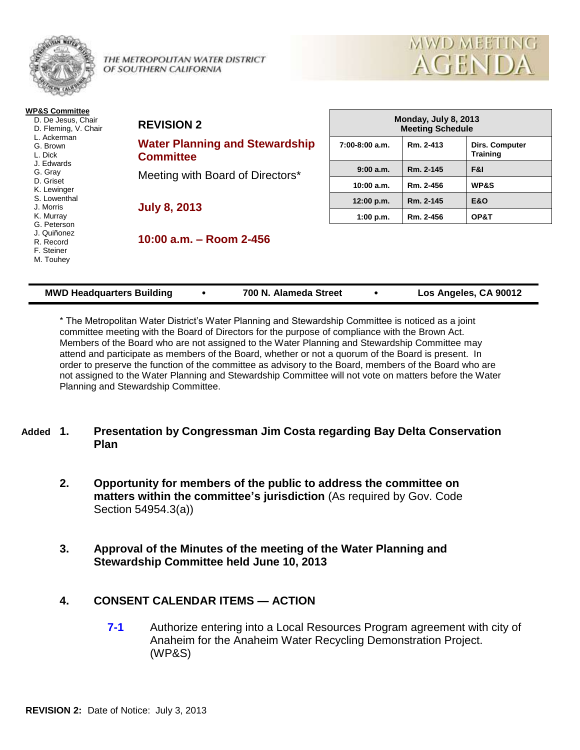

THE METROPOLITAN WATER DISTRICT OF SOUTHERN CALIFORNIA



| <b>WP&amp;S Committee</b><br>D. De Jesus, Chair<br>D. Fleming, V. Chair<br>L. Ackerman<br>G. Brown<br>L. Dick | <b>REVISION 2</b>                                                                             | Monday, July 8, 2013<br><b>Meeting Schedule</b> |           |                                          |  |
|---------------------------------------------------------------------------------------------------------------|-----------------------------------------------------------------------------------------------|-------------------------------------------------|-----------|------------------------------------------|--|
|                                                                                                               | <b>Water Planning and Stewardship</b><br><b>Committee</b><br>Meeting with Board of Directors* | $7:00-8:00$ a.m.                                | Rm. 2-413 | <b>Dirs. Computer</b><br><b>Training</b> |  |
| J. Edwards<br>G. Gray                                                                                         |                                                                                               | 9:00a.m.                                        | Rm. 2-145 | F&I                                      |  |
| D. Griset<br>K. Lewinger                                                                                      |                                                                                               | 10:00 a.m.                                      | Rm. 2-456 | <b>WP&amp;S</b>                          |  |
| S. Lowenthal<br>J. Morris                                                                                     | <b>July 8, 2013</b>                                                                           | 12:00 p.m.                                      | Rm. 2-145 | <b>E&amp;O</b>                           |  |
| K. Murray                                                                                                     |                                                                                               | 1:00 p.m.                                       | Rm. 2-456 | OP&T                                     |  |
| G. Peterson<br>J. Quiñonez<br>R. Record<br>F. Steiner<br>M. Touhey                                            | 10:00 a.m. - Room 2-456                                                                       |                                                 |           |                                          |  |

| <b>MWD Headquarters Building</b> |  | 700 N. Alameda Street |  | Los Angeles, CA 90012 |
|----------------------------------|--|-----------------------|--|-----------------------|
|----------------------------------|--|-----------------------|--|-----------------------|

\* The Metropolitan Water District's Water Planning and Stewardship Committee is noticed as a joint committee meeting with the Board of Directors for the purpose of compliance with the Brown Act. Members of the Board who are not assigned to the Water Planning and Stewardship Committee may attend and participate as members of the Board, whether or not a quorum of the Board is present. In order to preserve the function of the committee as advisory to the Board, members of the Board who are not assigned to the Water Planning and Stewardship Committee will not vote on matters before the Water Planning and Stewardship Committee.

# **Added 1. Presentation by Congressman Jim Costa regarding Bay Delta Conservation Plan**

- **2. Opportunity for members of the public to address the committee on matters within the committee's jurisdiction** (As required by Gov. Code Section 54954.3(a))
- **3. Approval of the Minutes of the meeting of the Water Planning and Stewardship Committee held June 10, 2013**

# **4. CONSENT CALENDAR ITEMS — ACTION**

**7-1** Authorize entering into a Local Resources Program agreement with city of Anaheim for the Anaheim Water Recycling Demonstration Project. (WP&S)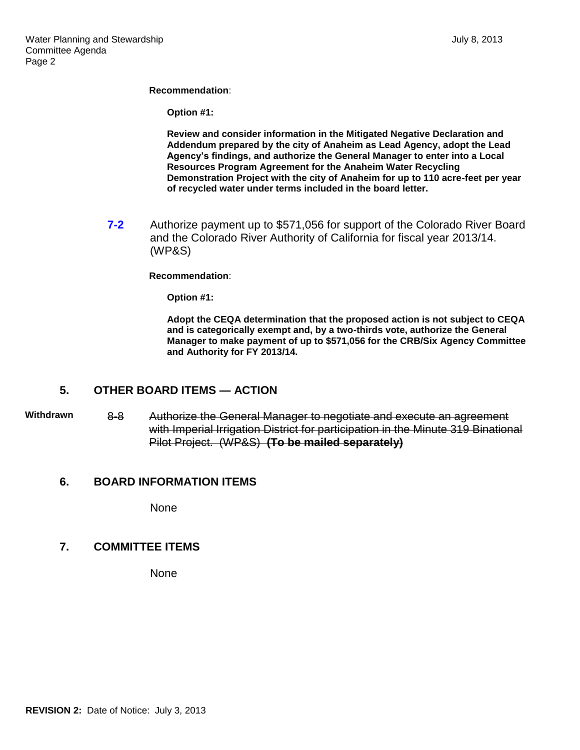#### **Recommendation**:

**Option #1:**

**Review and consider information in the Mitigated Negative Declaration and Addendum prepared by the city of Anaheim as Lead Agency, adopt the Lead Agency's findings, and authorize the General Manager to enter into a Local Resources Program Agreement for the Anaheim Water Recycling Demonstration Project with the city of Anaheim for up to 110 acre-feet per year of recycled water under terms included in the board letter.**

**7-2** Authorize payment up to \$571,056 for support of the Colorado River Board and the Colorado River Authority of California for fiscal year 2013/14. (WP&S)

#### **Recommendation**:

**Option #1:**

**Adopt the CEQA determination that the proposed action is not subject to CEQA and is categorically exempt and, by a two-thirds vote, authorize the General Manager to make payment of up to \$571,056 for the CRB/Six Agency Committee and Authority for FY 2013/14.**

# **5. OTHER BOARD ITEMS — ACTION**

**Withdrawn** 8-8 Authorize the General Manager to negotiate and execute an agreement with Imperial Irrigation District for participation in the Minute 319 Binational Pilot Project. (WP&S) **(To be mailed separately)**

#### **6. BOARD INFORMATION ITEMS**

None

### **7. COMMITTEE ITEMS**

None